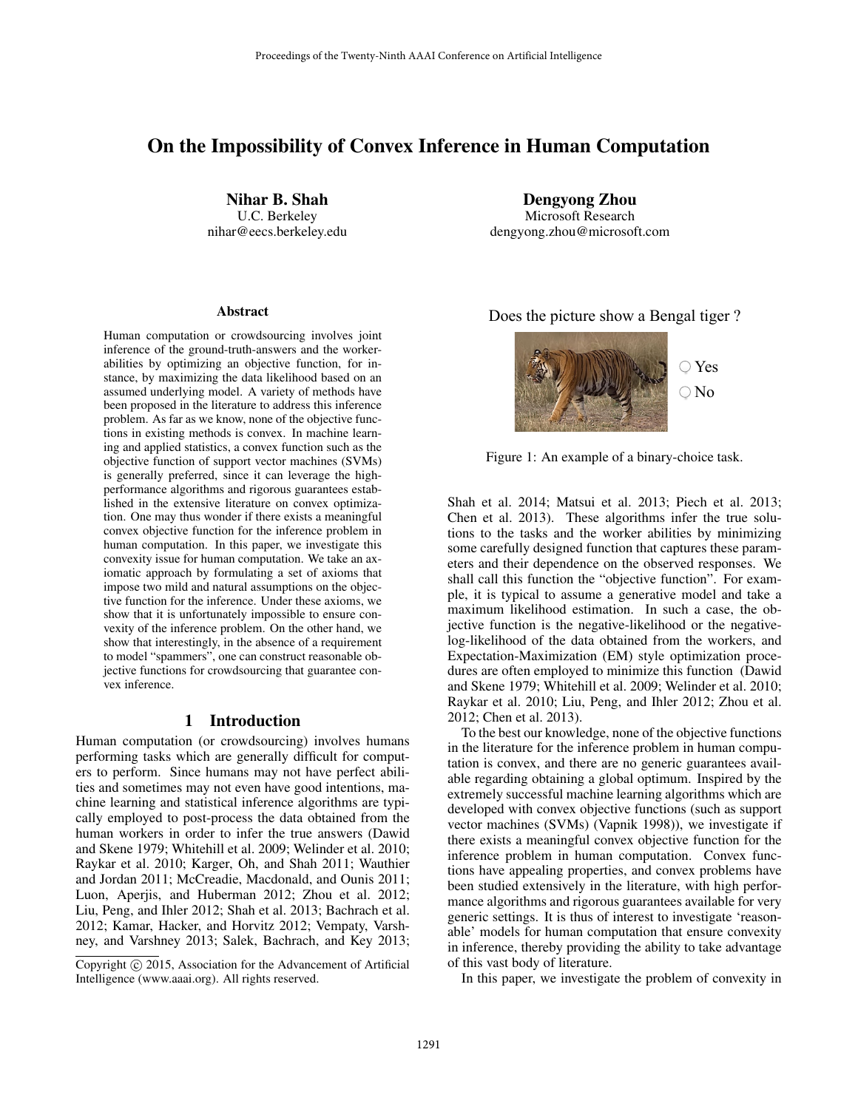# On the Impossibility of Convex Inference in Human Computation

Nihar B. Shah U.C. Berkeley nihar@eecs.berkeley.edu

#### **Abstract**

Human computation or crowdsourcing involves joint inference of the ground-truth-answers and the workerabilities by optimizing an objective function, for instance, by maximizing the data likelihood based on an assumed underlying model. A variety of methods have been proposed in the literature to address this inference problem. As far as we know, none of the objective functions in existing methods is convex. In machine learning and applied statistics, a convex function such as the objective function of support vector machines (SVMs) is generally preferred, since it can leverage the highperformance algorithms and rigorous guarantees established in the extensive literature on convex optimization. One may thus wonder if there exists a meaningful convex objective function for the inference problem in human computation. In this paper, we investigate this convexity issue for human computation. We take an axiomatic approach by formulating a set of axioms that impose two mild and natural assumptions on the objective function for the inference. Under these axioms, we show that it is unfortunately impossible to ensure convexity of the inference problem. On the other hand, we show that interestingly, in the absence of a requirement to model "spammers", one can construct reasonable objective functions for crowdsourcing that guarantee convex inference.

### 1 Introduction

Human computation (or crowdsourcing) involves humans performing tasks which are generally difficult for computers to perform. Since humans may not have perfect abilities and sometimes may not even have good intentions, machine learning and statistical inference algorithms are typically employed to post-process the data obtained from the human workers in order to infer the true answers (Dawid and Skene 1979; Whitehill et al. 2009; Welinder et al. 2010; Raykar et al. 2010; Karger, Oh, and Shah 2011; Wauthier and Jordan 2011; McCreadie, Macdonald, and Ounis 2011; Luon, Aperjis, and Huberman 2012; Zhou et al. 2012; Liu, Peng, and Ihler 2012; Shah et al. 2013; Bachrach et al. 2012; Kamar, Hacker, and Horvitz 2012; Vempaty, Varshney, and Varshney 2013; Salek, Bachrach, and Key 2013;

Dengyong Zhou Microsoft Research dengyong.zhou@microsoft.com

### Does the picture show a Bengal tiger ?



Figure 1: An example of a binary-choice task.

Shah et al. 2014; Matsui et al. 2013; Piech et al. 2013; Chen et al. 2013). These algorithms infer the true solutions to the tasks and the worker abilities by minimizing some carefully designed function that captures these parameters and their dependence on the observed responses. We shall call this function the "objective function". For example, it is typical to assume a generative model and take a maximum likelihood estimation. In such a case, the objective function is the negative-likelihood or the negativelog-likelihood of the data obtained from the workers, and Expectation-Maximization (EM) style optimization procedures are often employed to minimize this function (Dawid and Skene 1979; Whitehill et al. 2009; Welinder et al. 2010; Raykar et al. 2010; Liu, Peng, and Ihler 2012; Zhou et al. 2012; Chen et al. 2013).

To the best our knowledge, none of the objective functions in the literature for the inference problem in human computation is convex, and there are no generic guarantees available regarding obtaining a global optimum. Inspired by the extremely successful machine learning algorithms which are developed with convex objective functions (such as support vector machines (SVMs) (Vapnik 1998)), we investigate if there exists a meaningful convex objective function for the inference problem in human computation. Convex functions have appealing properties, and convex problems have been studied extensively in the literature, with high performance algorithms and rigorous guarantees available for very generic settings. It is thus of interest to investigate 'reasonable' models for human computation that ensure convexity in inference, thereby providing the ability to take advantage of this vast body of literature.

In this paper, we investigate the problem of convexity in

Copyright  $\odot$  2015, Association for the Advancement of Artificial Intelligence (www.aaai.org). All rights reserved.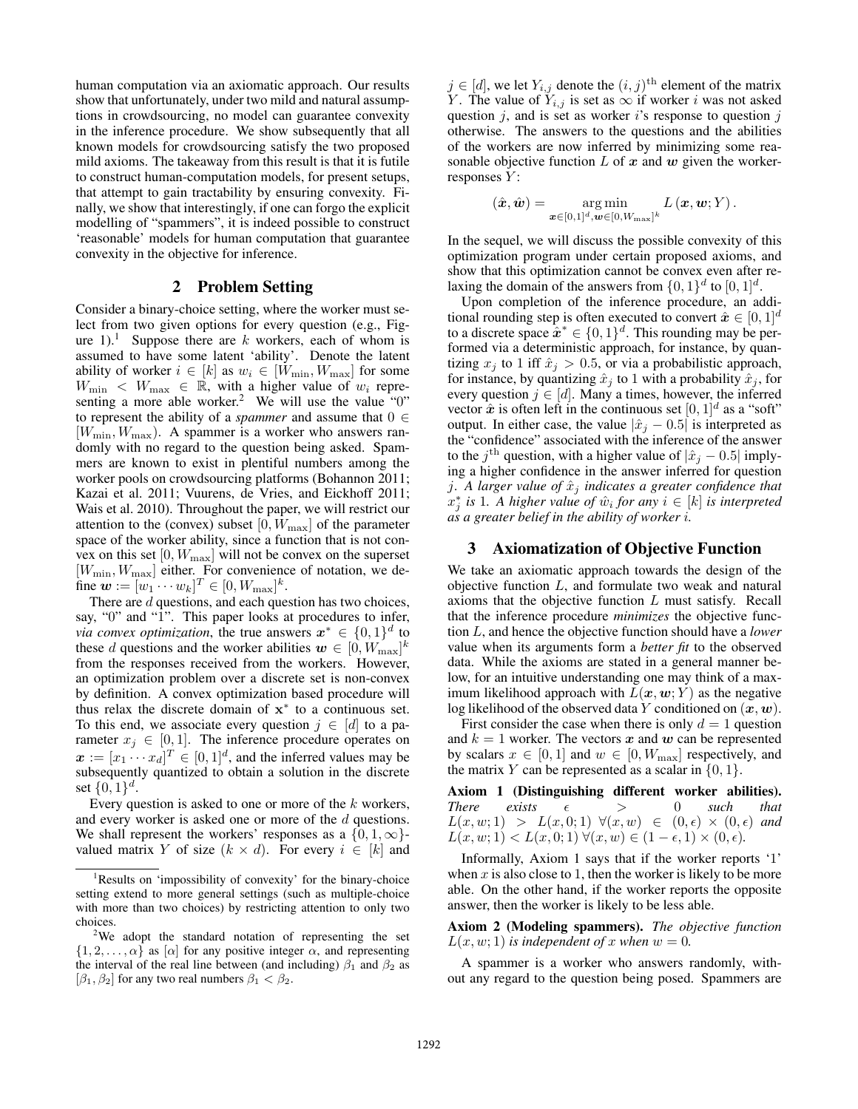human computation via an axiomatic approach. Our results show that unfortunately, under two mild and natural assumptions in crowdsourcing, no model can guarantee convexity in the inference procedure. We show subsequently that all known models for crowdsourcing satisfy the two proposed mild axioms. The takeaway from this result is that it is futile to construct human-computation models, for present setups, that attempt to gain tractability by ensuring convexity. Finally, we show that interestingly, if one can forgo the explicit modelling of "spammers", it is indeed possible to construct 'reasonable' models for human computation that guarantee convexity in the objective for inference.

### 2 Problem Setting

Consider a binary-choice setting, where the worker must select from two given options for every question (e.g., Figure 1).<sup>1</sup> Suppose there are k workers, each of whom is assumed to have some latent 'ability'. Denote the latent ability of worker  $i \in [k]$  as  $w_i \in [W_{\min}, W_{\max}]$  for some  $W_{\text{min}} \leq W_{\text{max}} \in \mathbb{R}$ , with a higher value of  $w_i$  representing a more able worker.<sup>2</sup> We will use the value "0" to represent the ability of a *spammer* and assume that  $0 \in$  $[W_{\text{min}}, W_{\text{max}}]$ . A spammer is a worker who answers randomly with no regard to the question being asked. Spammers are known to exist in plentiful numbers among the worker pools on crowdsourcing platforms (Bohannon 2011; Kazai et al. 2011; Vuurens, de Vries, and Eickhoff 2011; Wais et al. 2010). Throughout the paper, we will restrict our attention to the (convex) subset  $[0, W_{\text{max}}]$  of the parameter space of the worker ability, since a function that is not convex on this set  $[0, W_{\text{max}}]$  will not be convex on the superset  $[W_{\text{min}}, W_{\text{max}}]$  either. For convenience of notation, we define  $w := [w_1 \cdots w_k]^T \in [0, W_{\text{max}}]^k$ .

There are d questions, and each question has two choices, say, "0" and "1". This paper looks at procedures to infer, *via convex optimization*, the true answers  $x^* \in \{0,1\}^d$  to these d questions and the worker abilities  $w \in [0, W_{\text{max}}]^k$ from the responses received from the workers. However, an optimization problem over a discrete set is non-convex by definition. A convex optimization based procedure will thus relax the discrete domain of  $x^*$  to a continuous set. To this end, we associate every question  $j \in [d]$  to a parameter  $x_j \in [0, 1]$ . The inference procedure operates on  $\boldsymbol{x} := [x_1 \cdots x_d]^T \in [0,1]^d$ , and the inferred values may be subsequently quantized to obtain a solution in the discrete set  $\{0, 1\}^d$ .

Every question is asked to one or more of the  $k$  workers, and every worker is asked one or more of the d questions. We shall represent the workers' responses as a  $\{0, 1, \infty\}$ valued matrix Y of size  $(k \times d)$ . For every  $i \in [k]$  and

 $j \in [d]$ , we let  $Y_{i,j}$  denote the  $(i, j)$ <sup>th</sup> element of the matrix Y. The value of  $Y_{i,j}$  is set as  $\infty$  if worker i was not asked question  $j$ , and is set as worker  $i$ 's response to question  $j$ otherwise. The answers to the questions and the abilities of the workers are now inferred by minimizing some reasonable objective function  $L$  of  $x$  and  $w$  given the workerresponses  $Y$ :

$$
(\hat{\boldsymbol{x}}, \hat{\boldsymbol{w}}) = \mathop{\arg\min}_{\boldsymbol{x} \in [0,1]^d, \boldsymbol{w} \in [0, W_{\text{max}}]^k} L(\boldsymbol{x}, \boldsymbol{w}; Y).
$$

In the sequel, we will discuss the possible convexity of this optimization program under certain proposed axioms, and show that this optimization cannot be convex even after relaxing the domain of the answers from  $\{0, 1\}^d$  to  $[0, 1]^d$ .

Upon completion of the inference procedure, an additional rounding step is often executed to convert  $\hat{x} \in [0, 1]^d$ to a discrete space  $\hat{\mathbf{x}}^* \in \{0,1\}^d$ . This rounding may be performed via a deterministic approach, for instance, by quantizing  $x_j$  to 1 iff  $\hat{x}_j > 0.5$ , or via a probabilistic approach, for instance, by quantizing  $\hat{x}_i$  to 1 with a probability  $\hat{x}_i$ , for every question  $j \in [d]$ . Many a times, however, the inferred vector  $\hat{x}$  is often left in the continuous set  $[0, 1]^d$  as a "soft" output. In either case, the value  $|\hat{x}_j - 0.5|$  is interpreted as the "confidence" associated with the inference of the answer to the  $j<sup>th</sup>$  question, with a higher value of  $|\hat{x}_j - 0.5|$  implying a higher confidence in the answer inferred for question *j.* A larger value of  $\hat{x}_i$  indicates a greater confidence that  $\hat{x}_j^*$  *is* 1*.* A higher value of  $\hat{w}_i$  for any  $i \in [k]$  *is interpreted as a greater belief in the ability of worker* i*.*

### 3 Axiomatization of Objective Function

We take an axiomatic approach towards the design of the objective function  $L$ , and formulate two weak and natural axioms that the objective function  $L$  must satisfy. Recall that the inference procedure *minimizes* the objective function L, and hence the objective function should have a *lower* value when its arguments form a *better fit* to the observed data. While the axioms are stated in a general manner below, for an intuitive understanding one may think of a maximum likelihood approach with  $L(x, w; Y)$  as the negative log likelihood of the observed data Y conditioned on  $(x, w)$ .

First consider the case when there is only  $d = 1$  question and  $k = 1$  worker. The vectors x and w can be represented by scalars  $x \in [0, 1]$  and  $w \in [0, W_{\text{max}}]$  respectively, and the matrix Y can be represented as a scalar in  $\{0, 1\}.$ 

Axiom 1 (Distinguishing different worker abilities). *There exists*  $\epsilon$  > 0 *such that*  $L(x, w; 1) > L(x, 0; 1) \ \forall (x, w) \in (0, \epsilon) \times (0, \epsilon)$  and  $L(x, w; 1) < L(x, 0; 1) \ \forall (x, w) \in (1 - \epsilon, 1) \times (0, \epsilon).$ 

Informally, Axiom 1 says that if the worker reports '1' when  $x$  is also close to 1, then the worker is likely to be more able. On the other hand, if the worker reports the opposite answer, then the worker is likely to be less able.

Axiom 2 (Modeling spammers). *The objective function*  $L(x, w; 1)$  *is independent of* x when  $w = 0$ .

A spammer is a worker who answers randomly, without any regard to the question being posed. Spammers are

<sup>&</sup>lt;sup>1</sup>Results on 'impossibility of convexity' for the binary-choice setting extend to more general settings (such as multiple-choice with more than two choices) by restricting attention to only two choices.

<sup>&</sup>lt;sup>2</sup>We adopt the standard notation of representing the set  $\{1, 2, \ldots, \alpha\}$  as  $[\alpha]$  for any positive integer  $\alpha$ , and representing the interval of the real line between (and including)  $\beta_1$  and  $\beta_2$  as  $[\beta_1, \beta_2]$  for any two real numbers  $\beta_1 < \beta_2$ .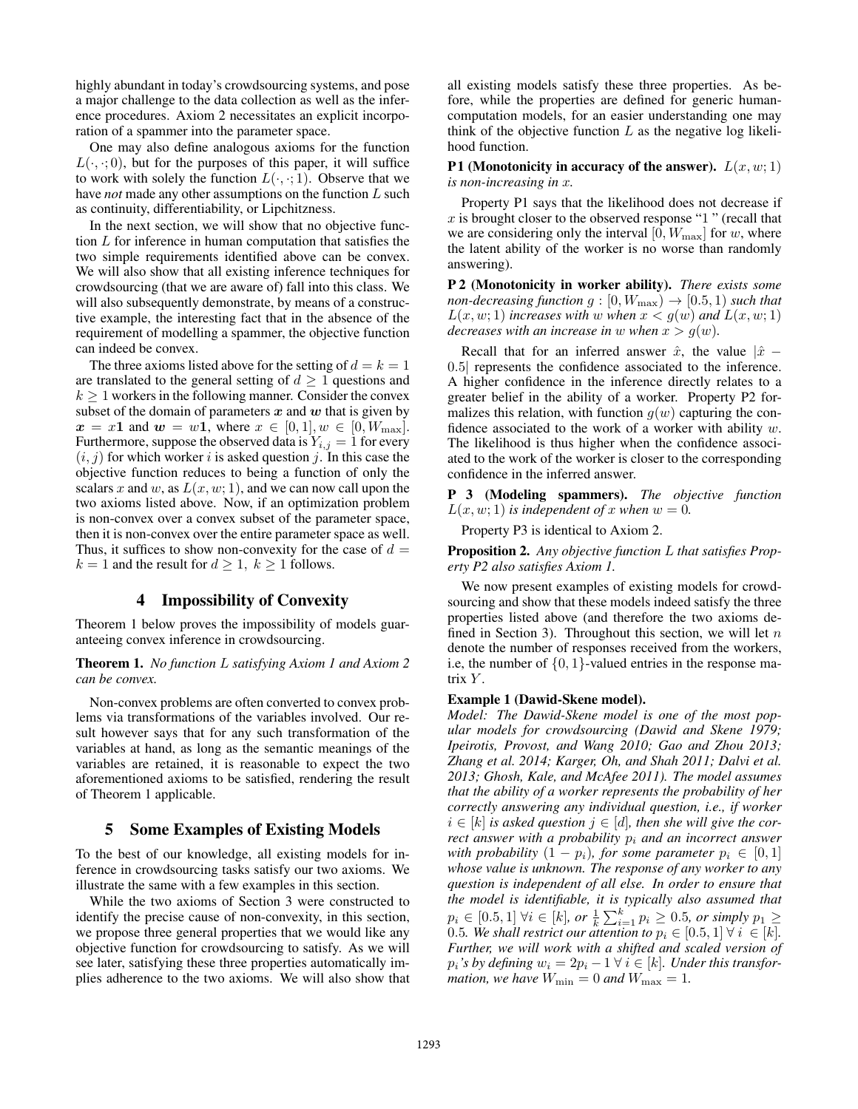highly abundant in today's crowdsourcing systems, and pose a major challenge to the data collection as well as the inference procedures. Axiom 2 necessitates an explicit incorporation of a spammer into the parameter space.

One may also define analogous axioms for the function  $L(\cdot, \cdot; 0)$ , but for the purposes of this paper, it will suffice to work with solely the function  $L(\cdot, \cdot; 1)$ . Observe that we have *not* made any other assumptions on the function L such as continuity, differentiability, or Lipchitzness.

In the next section, we will show that no objective function L for inference in human computation that satisfies the two simple requirements identified above can be convex. We will also show that all existing inference techniques for crowdsourcing (that we are aware of) fall into this class. We will also subsequently demonstrate, by means of a constructive example, the interesting fact that in the absence of the requirement of modelling a spammer, the objective function can indeed be convex.

The three axioms listed above for the setting of  $d = k = 1$ are translated to the general setting of  $d \geq 1$  questions and  $k \geq 1$  workers in the following manner. Consider the convex subset of the domain of parameters  $x$  and  $w$  that is given by  $x = x1$  and  $w = w1$ , where  $x \in [0, 1], w \in [0, W_{\text{max}}].$ Furthermore, suppose the observed data is  $Y_{i,j} = 1$  for every  $(i, j)$  for which worker i is asked question j. In this case the objective function reduces to being a function of only the scalars x and w, as  $L(x, w; 1)$ , and we can now call upon the two axioms listed above. Now, if an optimization problem is non-convex over a convex subset of the parameter space, then it is non-convex over the entire parameter space as well. Thus, it suffices to show non-convexity for the case of  $d =$  $k = 1$  and the result for  $d \geq 1$ ,  $k \geq 1$  follows.

# 4 Impossibility of Convexity

Theorem 1 below proves the impossibility of models guaranteeing convex inference in crowdsourcing.

Theorem 1. *No function* L *satisfying Axiom 1 and Axiom 2 can be convex.*

Non-convex problems are often converted to convex problems via transformations of the variables involved. Our result however says that for any such transformation of the variables at hand, as long as the semantic meanings of the variables are retained, it is reasonable to expect the two aforementioned axioms to be satisfied, rendering the result of Theorem 1 applicable.

### 5 Some Examples of Existing Models

To the best of our knowledge, all existing models for inference in crowdsourcing tasks satisfy our two axioms. We illustrate the same with a few examples in this section.

While the two axioms of Section 3 were constructed to identify the precise cause of non-convexity, in this section, we propose three general properties that we would like any objective function for crowdsourcing to satisfy. As we will see later, satisfying these three properties automatically implies adherence to the two axioms. We will also show that

all existing models satisfy these three properties. As before, while the properties are defined for generic humancomputation models, for an easier understanding one may think of the objective function  $L$  as the negative log likelihood function.

P1 (Monotonicity in accuracy of the answer).  $L(x, w; 1)$ *is non-increasing in* x*.*

Property P1 says that the likelihood does not decrease if  $x$  is brought closer to the observed response "1" (recall that we are considering only the interval  $[0, W_{\text{max}}]$  for w, where the latent ability of the worker is no worse than randomly answering).

P 2 (Monotonicity in worker ability). *There exists some non-decreasing function*  $g : [0, W_{\text{max}}) \rightarrow [0.5, 1)$  *such that*  $L(x, w; 1)$  *increases with* w when  $x < g(w)$  and  $L(x, w; 1)$ *decreases with an increase in* w *when*  $x > g(w)$ *.* 

Recall that for an inferred answer  $\hat{x}$ , the value  $|\hat{x} -$ 0.5| represents the confidence associated to the inference. A higher confidence in the inference directly relates to a greater belief in the ability of a worker. Property P2 formalizes this relation, with function  $g(w)$  capturing the confidence associated to the work of a worker with ability  $w$ . The likelihood is thus higher when the confidence associated to the work of the worker is closer to the corresponding confidence in the inferred answer.

P 3 (Modeling spammers). *The objective function*  $L(x, w; 1)$  *is independent of* x *when*  $w = 0$ *.* 

Property P3 is identical to Axiom 2.

Proposition 2. *Any objective function* L *that satisfies Property P2 also satisfies Axiom 1.*

We now present examples of existing models for crowdsourcing and show that these models indeed satisfy the three properties listed above (and therefore the two axioms defined in Section 3). Throughout this section, we will let  $n$ denote the number of responses received from the workers, i.e, the number of  $\{0, 1\}$ -valued entries in the response matrix  $Y$ .

### Example 1 (Dawid-Skene model).

*Model: The Dawid-Skene model is one of the most popular models for crowdsourcing (Dawid and Skene 1979; Ipeirotis, Provost, and Wang 2010; Gao and Zhou 2013; Zhang et al. 2014; Karger, Oh, and Shah 2011; Dalvi et al. 2013; Ghosh, Kale, and McAfee 2011). The model assumes that the ability of a worker represents the probability of her correctly answering any individual question, i.e., if worker*  $i \in [k]$  *is asked question*  $j \in [d]$ *, then she will give the correct answer with a probability*  $p_i$  *and an incorrect answer with probability*  $(1 - p_i)$ *, for some parameter*  $p_i \in [0, 1]$ *whose value is unknown. The response of any worker to any question is independent of all else. In order to ensure that the model is identifiable, it is typically also assumed that*  $p_i$  ∈ [0.5, 1]  $\forall i \in [k]$ , or  $\frac{1}{k} \sum_{i=1}^{k} p_i \ge 0.5$ , or simply  $p_1 \ge$ 0.5*. We shall restrict our attention to*  $p_i \in [0.5, 1]$   $\forall i \in [k]$ *. Further, we will work with a shifted and scaled version of*  $p_i$ *'s by defining*  $w_i = 2p_i - 1 \ \forall i \in [k]$ *. Under this transformation, we have*  $W_{\text{min}} = 0$  *and*  $W_{\text{max}} = 1$ *.*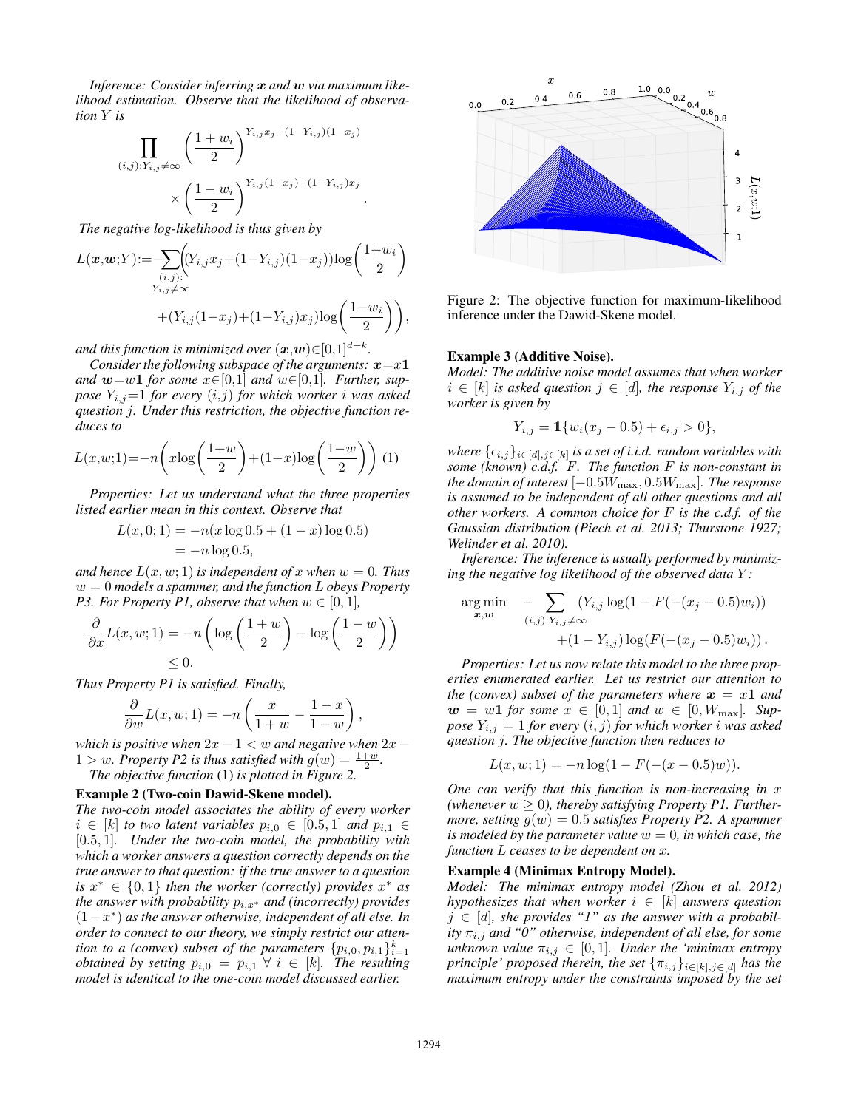*Inference: Consider inferring* x *and* w *via maximum likelihood estimation. Observe that the likelihood of observation* Y *is*

$$
\prod_{(i,j): Y_{i,j} \neq \infty} \left( \frac{1+w_i}{2} \right)^{Y_{i,j}x_j + (1-Y_{i,j})(1-x_j)} \times \left( \frac{1-w_i}{2} \right)^{Y_{i,j}(1-x_j) + (1-Y_{i,j})x_j}.
$$

*The negative log-likelihood is thus given by*

$$
L(\boldsymbol{x}, \boldsymbol{w}; Y) := \sum_{\substack{(i,j):\\ Y_{i,j} \neq \infty}} \Biggl( (Y_{i,j} x_j + (1 - Y_{i,j})(1 - x_j)) \log \left( \frac{1 + w_i}{2} \right) + (Y_{i,j}(1 - x_j) + (1 - Y_{i,j}) x_j) \log \left( \frac{1 - w_i}{2} \right) \Biggr),
$$

and this function is minimized over  $(\boldsymbol{x},\boldsymbol{w}) {\in} [0,1]^{d+k}.$ 

*Consider the following subspace of the arguments:*  $x=x1$ *and*  $w=w1$  *for some*  $x \in [0,1]$  *and*  $w \in [0,1]$ *. Further, suppose*  $Y_{i,j}=1$  *for every*  $(i,j)$  *for which worker i was asked question* j*. Under this restriction, the objective function reduces to*

$$
L(x, w; 1) = -n\left(x\log\left(\frac{1+w}{2}\right) + (1-x)\log\left(\frac{1-w}{2}\right)\right) (1)
$$

*Properties: Let us understand what the three properties listed earlier mean in this context. Observe that*

$$
L(x, 0; 1) = -n(x \log 0.5 + (1 - x) \log 0.5)
$$
  
= -n \log 0.5,

*and hence*  $L(x, w; 1)$  *is independent of* x *when*  $w = 0$ *. Thus* w = 0 *models a spammer, and the function* L *obeys Property P3. For Property P1, observe that when*  $w \in [0, 1]$ *,* 

$$
\frac{\partial}{\partial x}L(x, w; 1) = -n\left(\log\left(\frac{1+w}{2}\right) - \log\left(\frac{1-w}{2}\right)\right) \le 0.
$$

*Thus Property P1 is satisfied. Finally,*

$$
\frac{\partial}{\partial w}L(x, w; 1) = -n\left(\frac{x}{1+w} - \frac{1-x}{1-w}\right),\,
$$

*which is positive when*  $2x - 1 < w$  *and negative when*  $2x - 1$  $1 > w$ . Property P2 is thus satisfied with  $g(w) = \frac{1+w}{2}$ .

*The objective function* (1) *is plotted in Figure 2.*

#### Example 2 (Two-coin Dawid-Skene model).

*The two-coin model associates the ability of every worker*  $i \in [k]$  *to two latent variables*  $p_{i,0} \in [0.5, 1]$  *and*  $p_{i,1} \in$ [0.5, 1]*. Under the two-coin model, the probability with which a worker answers a question correctly depends on the true answer to that question: if the true answer to a question is*  $x^* \in \{0,1\}$  *then the worker (correctly) provides*  $x^*$  *as the answer with probability*  $p_{i,x^*}$  *and (incorrectly) provides* (1−x ∗ ) *as the answer otherwise, independent of all else. In order to connect to our theory, we simply restrict our attention to a (convex) subset of the parameters*  $\{p_{i,0}, p_{i,1}\}_{i=1}^k$ *obtained by setting*  $p_{i,0} = p_{i,1} \ \forall \ i \in [k]$ *. The resulting model is identical to the one-coin model discussed earlier.*



Figure 2: The objective function for maximum-likelihood inference under the Dawid-Skene model.

### Example 3 (Additive Noise).

*Model: The additive noise model assumes that when worker*  $i \in [k]$  *is asked question*  $j \in [d]$ *, the response*  $Y_{i,j}$  *of the worker is given by*

$$
Y_{i,j} = \mathbb{1}\{w_i(x_j - 0.5) + \epsilon_{i,j} > 0\},\
$$

where  $\{\epsilon_{i,j}\}_{i\in [d], j\in [k]}$  is a set of i.i.d. random variables with *some (known) c.d.f.* F*. The function* F *is non-constant in the domain of interest*  $[-0.5W_{\text{max}}, 0.5W_{\text{max}}]$ *. The response is assumed to be independent of all other questions and all other workers. A common choice for* F *is the c.d.f. of the Gaussian distribution (Piech et al. 2013; Thurstone 1927; Welinder et al. 2010).*

*Inference: The inference is usually performed by minimizing the negative log likelihood of the observed data* Y *:*

$$
\arg\min_{\mathbf{x},\mathbf{w}} \quad -\sum_{(i,j):Y_{i,j}\neq\infty} (Y_{i,j}\log(1-F(-(x_j-0.5)w_i)) + (1-Y_{i,j})\log(F(-(x_j-0.5)w_i)).
$$

*Properties: Let us now relate this model to the three properties enumerated earlier. Let us restrict our attention to the (convex) subset of the parameters where*  $x = x1$  *and*  $w = w1$  for some  $x \in [0,1]$  and  $w \in [0, W_{\text{max}}]$ . Sup*pose*  $Y_{i,j} = 1$  *for every*  $(i, j)$  *for which worker i was asked question* j*. The objective function then reduces to*

$$
L(x, w; 1) = -n \log(1 - F(-(x - 0.5)w)).
$$

*One can verify that this function is non-increasing in* x (whenever  $w \geq 0$ ), thereby satisfying Property P1. Further*more, setting*  $q(w) = 0.5$  *satisfies Property P2. A spammer is modeled by the parameter value*  $w = 0$ *, in which case, the function* L *ceases to be dependent on* x*.*

#### Example 4 (Minimax Entropy Model).

*Model: The minimax entropy model (Zhou et al. 2012) hypothesizes that when worker*  $i \in [k]$  *answers question*  $j \in [d]$ , she provides "1" as the answer with a probabil*ity*  $\pi_{i,j}$  *and "0" otherwise, independent of all else, for some unknown value*  $\pi_{i,j} \in [0,1]$ *. Under the 'minimax entropy principle' proposed therein, the set*  ${\{\pi_{i,j}\}_{i \in [k], j \in [d]}$  *has the maximum entropy under the constraints imposed by the set*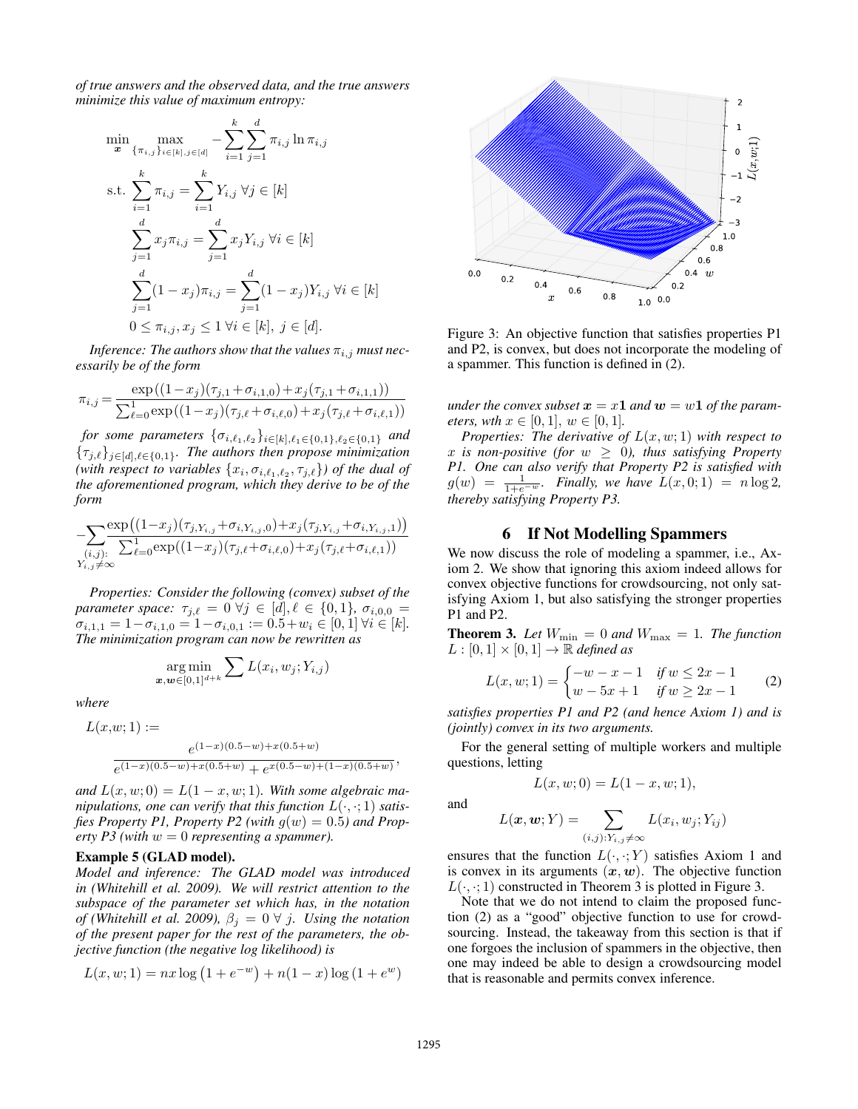*of true answers and the observed data, and the true answers minimize this value of maximum entropy:*

$$
\min_{\mathbf{x}} \max_{\{\pi_{i,j}\}_{i \in [k], j \in [d]} -\sum_{i=1}^{k} \sum_{j=1}^{d} \pi_{i,j} \ln \pi_{i,j}
$$
\ns.t. 
$$
\sum_{i=1}^{k} \pi_{i,j} = \sum_{i=1}^{k} Y_{i,j} \,\forall j \in [k]
$$
\n
$$
\sum_{j=1}^{d} x_j \pi_{i,j} = \sum_{j=1}^{d} x_j Y_{i,j} \,\forall i \in [k]
$$
\n
$$
\sum_{j=1}^{d} (1 - x_j) \pi_{i,j} = \sum_{j=1}^{d} (1 - x_j) Y_{i,j} \,\forall i \in [k]
$$
\n
$$
0 \le \pi_{i,j}, x_j \le 1 \,\forall i \in [k], j \in [d].
$$

*Inference: The authors show that the values*  $\pi_{i,j}$  *must necessarily be of the form*

$$
\pi_{i,j} = \frac{\exp((1-x_j)(\tau_{j,1} + \sigma_{i,1,0}) + x_j(\tau_{j,1} + \sigma_{i,1,1}))}{\sum_{\ell=0}^1 \exp((1-x_j)(\tau_{j,\ell} + \sigma_{i,\ell,0}) + x_j(\tau_{j,\ell} + \sigma_{i,\ell,1}))}
$$

*for some parameters*  $\{\sigma_{i,\ell_1,\ell_2}\}_{i\in[k],\ell_1\in\{0,1\},\ell_2\in\{0,1\}}$  *and*  ${\{\tau_{j,\ell}\}_{j\in[d],\ell\in\{0,1\}}}$ . The authors then propose minimization (with respect to variables  $\{x_i, \sigma_{i,\ell_1,\ell_2}, \tau_{j,\ell}\}$ ) of the dual of *the aforementioned program, which they derive to be of the form*

− X (i,j): Yi,j 6=∞ exp (1−x<sup>j</sup> )(τj,Yi,j+σi,Yi,j ,0)+x<sup>j</sup> (τj,Yi,j+σi,Yi,j ,1) P<sup>1</sup> `=0exp((1−x<sup>j</sup> )(τj,`+σi,`,0)+x<sup>j</sup> (τj,`+σi,`,1))

*Properties: Consider the following (convex) subset of the parameter space:*  $\tau_{i,\ell} = 0 \ \forall j \in [d], \ell \in \{0, 1\}, \ \sigma_{i,0,0} =$  $\sigma_{i,1,1} = 1 - \sigma_{i,1,0} = 1 - \sigma_{i,0,1} := 0.5 + w_i \in [0,1] \,\forall i \in [k].$ *The minimization program can now be rewritten as*

$$
\argmin_{\bm{x},\bm{w}\in[0,1]^{d+k}}\sum L(x_i,w_j;Y_{i,j})
$$

*where*

$$
L(x, w; 1) :=
$$
  

$$
e^{(1-x)(0.5-w) + x(0.5+w)}
$$
  

$$
e^{(1-x)(0.5-w) + x(0.5+w)} + e^{x(0.5-w) + (1-x)(0.5+w)}
$$

and  $L(x, w; 0) = L(1 - x, w; 1)$ . With some algebraic ma*nipulations, one can verify that this function*  $L(\cdot, \cdot; 1)$  *satis*fies Property P1, Property P2 (with  $g(w) = 0.5$ ) and Prop*erty P3 (with* w = 0 *representing a spammer).*

#### Example 5 (GLAD model).

*Model and inference: The GLAD model was introduced in (Whitehill et al. 2009). We will restrict attention to the subspace of the parameter set which has, in the notation of (Whitehill et al. 2009),*  $\beta_j = 0 \ \forall j$ *. Using the notation of the present paper for the rest of the parameters, the objective function (the negative log likelihood) is*

$$
L(x, w; 1) = nx \log (1 + e^{-w}) + n(1 - x) \log (1 + e^{w})
$$



Figure 3: An objective function that satisfies properties P1 and P2, is convex, but does not incorporate the modeling of a spammer. This function is defined in (2).

*under the convex subset*  $x = x1$  *and*  $w = w1$  *of the parameters, wth*  $x \in [0, 1], w \in [0, 1].$ 

*Properties: The derivative of* L(x, w; 1) *with respect to* x is non-positive (for  $w \geq 0$ ), thus satisfying Property *P1. One can also verify that Property P2 is satisfied with*  $g(w) = \frac{1}{1+e^{-w}}$ *. Finally, we have*  $L(x, 0; 1) = n \log 2$ *, thereby satisfying Property P3.*

### 6 If Not Modelling Spammers

We now discuss the role of modeling a spammer, i.e., Axiom 2. We show that ignoring this axiom indeed allows for convex objective functions for crowdsourcing, not only satisfying Axiom 1, but also satisfying the stronger properties P1 and P2.

**Theorem 3.** Let  $W_{\text{min}} = 0$  and  $W_{\text{max}} = 1$ . The function  $L : [0, 1] \times [0, 1] \rightarrow \mathbb{R}$  *defined as* 

$$
L(x, w; 1) = \begin{cases} -w - x - 1 & \text{if } w \le 2x - 1 \\ w - 5x + 1 & \text{if } w \ge 2x - 1 \end{cases} \tag{2}
$$

*satisfies properties P1 and P2 (and hence Axiom 1) and is (jointly) convex in its two arguments.*

For the general setting of multiple workers and multiple questions, letting  $L(x, w; 0) = L(1 - x, w; 1),$ 

and

,

$$
L(\boldsymbol{x}, \boldsymbol{w}; Y) = \sum_{(i,j): Y_{i,j} \neq \infty} L(x_i, w_j; Y_{ij})
$$

ensures that the function  $L(\cdot, \cdot; Y)$  satisfies Axiom 1 and is convex in its arguments  $(x, w)$ . The objective function  $L(\cdot, \cdot; 1)$  constructed in Theorem 3 is plotted in Figure 3.

Note that we do not intend to claim the proposed function (2) as a "good" objective function to use for crowdsourcing. Instead, the takeaway from this section is that if one forgoes the inclusion of spammers in the objective, then one may indeed be able to design a crowdsourcing model that is reasonable and permits convex inference.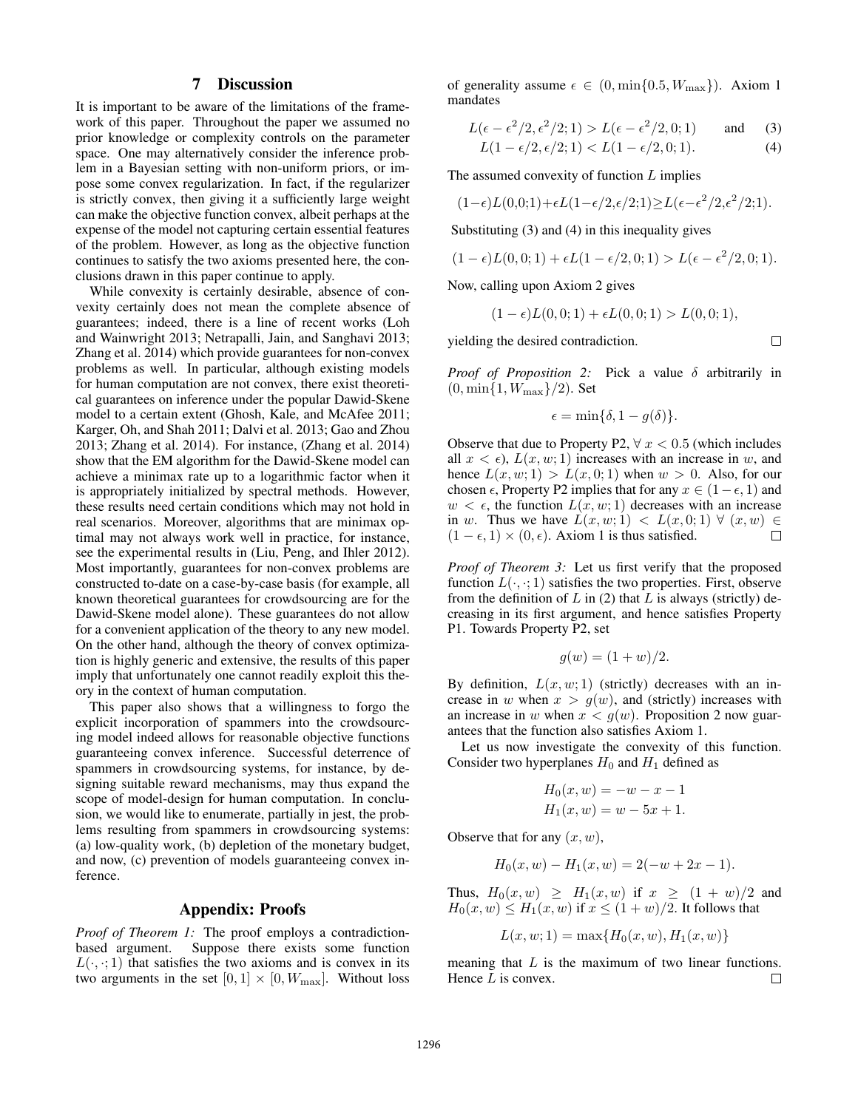## 7 Discussion

It is important to be aware of the limitations of the framework of this paper. Throughout the paper we assumed no prior knowledge or complexity controls on the parameter space. One may alternatively consider the inference problem in a Bayesian setting with non-uniform priors, or impose some convex regularization. In fact, if the regularizer is strictly convex, then giving it a sufficiently large weight can make the objective function convex, albeit perhaps at the expense of the model not capturing certain essential features of the problem. However, as long as the objective function continues to satisfy the two axioms presented here, the conclusions drawn in this paper continue to apply.

While convexity is certainly desirable, absence of convexity certainly does not mean the complete absence of guarantees; indeed, there is a line of recent works (Loh and Wainwright 2013; Netrapalli, Jain, and Sanghavi 2013; Zhang et al. 2014) which provide guarantees for non-convex problems as well. In particular, although existing models for human computation are not convex, there exist theoretical guarantees on inference under the popular Dawid-Skene model to a certain extent (Ghosh, Kale, and McAfee 2011; Karger, Oh, and Shah 2011; Dalvi et al. 2013; Gao and Zhou 2013; Zhang et al. 2014). For instance, (Zhang et al. 2014) show that the EM algorithm for the Dawid-Skene model can achieve a minimax rate up to a logarithmic factor when it is appropriately initialized by spectral methods. However, these results need certain conditions which may not hold in real scenarios. Moreover, algorithms that are minimax optimal may not always work well in practice, for instance, see the experimental results in (Liu, Peng, and Ihler 2012). Most importantly, guarantees for non-convex problems are constructed to-date on a case-by-case basis (for example, all known theoretical guarantees for crowdsourcing are for the Dawid-Skene model alone). These guarantees do not allow for a convenient application of the theory to any new model. On the other hand, although the theory of convex optimization is highly generic and extensive, the results of this paper imply that unfortunately one cannot readily exploit this theory in the context of human computation.

This paper also shows that a willingness to forgo the explicit incorporation of spammers into the crowdsourcing model indeed allows for reasonable objective functions guaranteeing convex inference. Successful deterrence of spammers in crowdsourcing systems, for instance, by designing suitable reward mechanisms, may thus expand the scope of model-design for human computation. In conclusion, we would like to enumerate, partially in jest, the problems resulting from spammers in crowdsourcing systems: (a) low-quality work, (b) depletion of the monetary budget, and now, (c) prevention of models guaranteeing convex inference.

### Appendix: Proofs

*Proof of Theorem 1:* The proof employs a contradictionbased argument. Suppose there exists some function  $L(\cdot, \cdot; 1)$  that satisfies the two axioms and is convex in its two arguments in the set  $[0, 1] \times [0, W_{\text{max}}]$ . Without loss

of generality assume  $\epsilon \in (0, \min\{0.5, W_{\max}\})$ . Axiom 1 mandates

$$
L(\epsilon - \epsilon^2/2, \epsilon^2/2; 1) > L(\epsilon - \epsilon^2/2, 0; 1) \quad \text{and} \quad (3)
$$

$$
L(1 - \epsilon/2, \epsilon/2; 1) < L(1 - \epsilon/2, 0; 1). \tag{4}
$$

The assumed convexity of function  $L$  implies

$$
(1-\epsilon)L(0,0;1)+\epsilon L(1-\epsilon/2,\epsilon/2;1){\ge}L(\epsilon-\epsilon^2/2,\epsilon^2/2;1).
$$

Substituting (3) and (4) in this inequality gives

$$
(1 - \epsilon)L(0, 0; 1) + \epsilon L(1 - \epsilon/2, 0; 1) > L(\epsilon - \epsilon^2/2, 0; 1).
$$

Now, calling upon Axiom 2 gives

$$
(1 - \epsilon)L(0, 0; 1) + \epsilon L(0, 0; 1) > L(0, 0; 1),
$$

yielding the desired contradiction.

 $\Box$ 

*Proof of Proposition 2:* Pick a value δ arbitrarily in  $(0, \min\{1, W_{\max}\}/2)$ . Set

$$
\epsilon = \min\{\delta, 1 - g(\delta)\}.
$$

Observe that due to Property P2,  $\forall x < 0.5$  (which includes all  $x < \epsilon$ ),  $L(x, w; 1)$  increases with an increase in w, and hence  $L(x, w; 1) > L(x, 0; 1)$  when  $w > 0$ . Also, for our chosen  $\epsilon$ , Property P2 implies that for any  $x \in (1-\epsilon, 1)$  and  $w < \epsilon$ , the function  $L(x, w; 1)$  decreases with an increase in w. Thus we have  $L(x, w; 1) < L(x, 0; 1) \forall (x, w) \in$  $(1 - \epsilon, 1) \times (0, \epsilon)$ . Axiom 1 is thus satisfied.  $\Box$ 

*Proof of Theorem 3:* Let us first verify that the proposed function  $L(\cdot, \cdot; 1)$  satisfies the two properties. First, observe from the definition of  $L$  in (2) that  $L$  is always (strictly) decreasing in its first argument, and hence satisfies Property P1. Towards Property P2, set

$$
g(w) = (1 + w)/2.
$$

By definition,  $L(x, w; 1)$  (strictly) decreases with an increase in w when  $x > g(w)$ , and (strictly) increases with an increase in w when  $x < g(w)$ . Proposition 2 now guarantees that the function also satisfies Axiom 1.

Let us now investigate the convexity of this function. Consider two hyperplanes  $H_0$  and  $H_1$  defined as

$$
H_0(x, w) = -w - x - 1
$$
  

$$
H_1(x, w) = w - 5x + 1.
$$

Observe that for any  $(x, w)$ ,

$$
H_0(x, w) - H_1(x, w) = 2(-w + 2x - 1).
$$

Thus,  $H_0(x, w) \geq H_1(x, w)$  if  $x \geq (1 + w)/2$  and  $H_0(x, w) \leq H_1(x, w)$  if  $x \leq (1 + w)/2$ . It follows that

$$
L(x, w; 1) = \max\{H_0(x, w), H_1(x, w)\}
$$

meaning that  $L$  is the maximum of two linear functions. Hence  $L$  is convex.  $\Box$